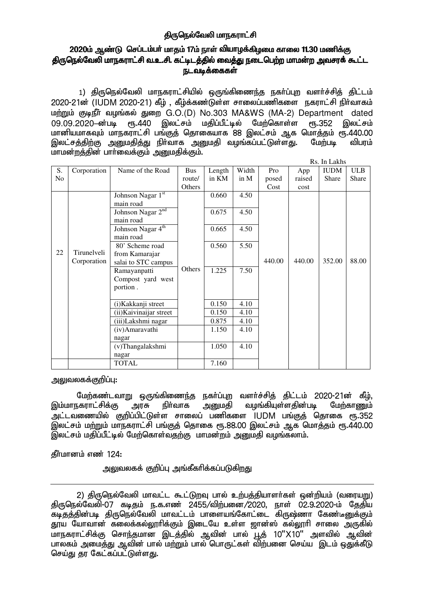### திருநெல்வேலி மாநகராட்சி

# 2020ம் ஆண்டு செப்டம்பா் மாதம் 17ம் நாள் வியாழக்கிழமை காலை 11.30 மணிக்கு <u>திருநெ</u>ல்வேலி மாநகராட்சி வ.உ.சி. கட்டிடத்தில் வைத்து நடைபெற்ற மாமன்ற அவசரக் கூட்ட ௩டவடீக்கைகள்

1) திருநெல்வேலி மாநகராட்சியில் ஒருங்கிணைந்த நகா்ப்புற வளா்ச்சித் திட்டம் 2020-21ன் (IUDM 2020-21) கீழ், கீழ்க்கண்டுள்ள சாலைப்பணிகளை நகராட்சி நிர்வாகம் மற்றும் குடிநீர் வழங்கல் துறை G.O.(D) No.303 MA&WS (MA-2) Department dated 09.09.2020–ன்படி ரூ.440 இலட்சம் மதிப்பீட்டில் மேற்கொள்ள ரூ.352 இலட்சம் ் கானியமாகவும் மாநகராட்சி பங்குத் தொகையாக ,<br>மானியமாகவும் மாநகராட்சி பங்குத் தொகையாக 88 இலட்சம் ஆக மொத்தம் ரூ.440.00<br>இலட்சக்கிற்கு அறையகிக்கு நிர்வாக அறைமகி வழங்கப்பட்டுள்ளது. மேற்படி விபரம் இலட்சத்திற்கு அனுமதித்து நிா்வாக அனுமதி வழங்கப்பட்டுள்ளது. மேற்படி விபரம் மாமன்றத்தின் பார்வைக்கும் அனுமதிக்கும்.

|                | Rs. In Lakhs |                               |        |        |        |        |        |              |            |
|----------------|--------------|-------------------------------|--------|--------|--------|--------|--------|--------------|------------|
| S.             | Corporation  | Name of the Road              | Bus    | Length | Width  | Pro    | App    | <b>IUDM</b>  | <b>ULB</b> |
| N <sub>o</sub> |              |                               | route/ | in KM  | in $M$ | posed  | raised | <b>Share</b> | Share      |
|                |              |                               | Others |        |        | Cost   | cost   |              |            |
|                |              | Johnson Nagar 1st             |        | 0.660  | 4.50   |        |        |              |            |
|                |              | main road                     |        |        |        |        |        |              |            |
|                |              | Johnson Nagar 2 <sup>nd</sup> |        | 0.675  | 4.50   |        |        |              |            |
|                |              | main road                     |        |        |        |        |        |              |            |
|                |              | Johnson Nagar 4 <sup>th</sup> |        | 0.665  | 4.50   |        |        |              |            |
|                |              | main road                     |        |        |        |        |        |              |            |
|                |              | 80' Scheme road               |        | 0.560  | 5.50   |        |        |              |            |
| 22             | Tirunelveli  | from Kamarajar                |        |        |        |        |        |              |            |
|                | Corporation  | salai to STC campus           |        |        |        | 440.00 | 440.00 | 352.00       | 88.00      |
|                |              | Ramayanpatti                  | Others | 1.225  | 7.50   |        |        |              |            |
|                |              | Compost yard west             |        |        |        |        |        |              |            |
|                |              | portion.                      |        |        |        |        |        |              |            |
|                |              |                               |        |        |        |        |        |              |            |
|                |              | (i) Kakkanji street           |        | 0.150  | 4.10   |        |        |              |            |
|                |              | (ii) Kaivinaijar street       |        | 0.150  | 4.10   |        |        |              |            |
|                |              | (iii)Lakshmi nagar            |        | 0.875  | 4.10   |        |        |              |            |
|                |              | (iv) Amaravathi               |        | 1.150  | 4.10   |        |        |              |            |
|                |              | nagar                         |        |        |        |        |        |              |            |
|                |              | (v)Thangalakshmi              |        | 1.050  | 4.10   |        |        |              |            |
|                |              | nagar                         |        |        |        |        |        |              |            |
|                |              | <b>TOTAL</b>                  |        | 7.160  |        |        |        |              |            |

அலுவலகக்குறிப்ப $:$ 

اللَّهُ மேற்கண்டவாறு ஒருங்கிணைந்த நகா்ப்புற வளா்ச்சித் திட்டம் 2020-21ன் கீழ்,<br>இம்மாநகராட்சிக்கு அரசு நிா்வாக அனுமதி வழங்கியுள்ளதின்படி மேற்காணும் வழங்கியுள்ளகின்படி அட்டவணையில் குறிப்பிட்டுள்ள சாலைப் பணிகளை IUDM பங்குத் தொகை ரூ.352 இலட்சம் மற்றும் மாநகராட்சி பங்குத் தொகை ரூ.88.00 இலட்சம் ஆக மொத்தம் ரூ.440.00  $\tilde{g}$ லட்சம் மதிப்பீட்டில் மேற்கொள்வதற்கு மாமன்றம் அனுமதி வழங்கலாம்.

தீர்மானம் எண் 124:

அலுவலகக் குறிப்பு அங்கீகரிக்கப்படுகிறது

<sup>2)</sup> திருநெல்வேலி மாவட்ட கூட்டுறவு பால் உற்பத்தியாளர்கள் ஒன்றியம் (வரையறு) திருநெல்வேலி-07 கடிதம் ந.க.எண் 2455/விற்பனை/2020, நாள் 02.9.2020-ம் தேதிய கடிதத்தின்படி திருநெல்வேலி மாவட்டம் பாளையங்கோட்டை கிருஷ்ணா கேண்டீனுக்கும் தூய யோவான் கலைக்கல்லூரிக்கும் இடையே உள்ள ஜான்ஸ் கல்லூரி சாலை அருகில் மாநகராட்சிக்கு சொந்தமான இடத்தில் ஆவின் பால் பூத் 10"X10" அளவில் ஆவின் பாலகம் அமைத்து ஆவின் பால் மற்றும் பால் பொருட்கள் விற்பனை செய்ய இடம் ஒதுக்கீடு செய்து தர கேட்கப்பட்டுள்ளது.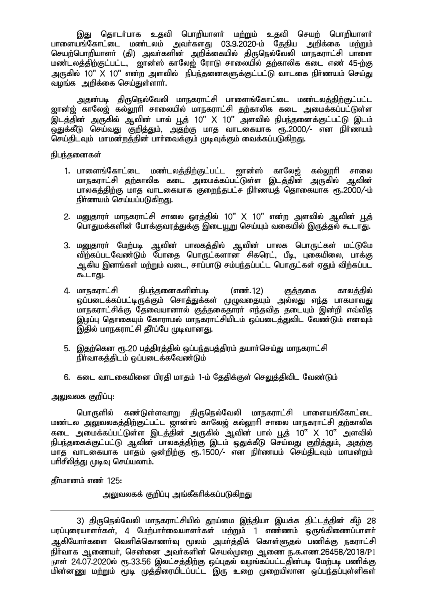இது தொடர்பாக உதவி பொறியாளர் மற்றும் உகவி செயற் பொறியாளர் ்பாளையங்கோட்டை மண்டலம் அவர்களது 03.9.2020-ம் தேதிய அறிக்கை ம<u>ற்று</u>ம் nraw;nghwpahsh; (jp) mth;fspd; mwpf;ifapy; jpUney;Ntyp khefuhl;rp ghis <u>மண்டலத்திற்குட்பட்ட, தான்ஸ் காலேஜ் ரோடு சாலையில் தற்</u>காலிக கடை எண் 45-ற்கு அருகில் 10" X 10" என்ற அளவில் நிபந்தனைகளுக்குட்பட்டு வாடகை நிர்ணயம் செய்து வழங்க அறிக்கை செய்துள்ளார்.

அதன்படி திருநெல்வேலி மாநகராட்சி பாளைங்கோட்டை மண்டலத்திற்குட்பட்ட <u>ஜான்ஜ்</u> காலேஜ் கல்லூரி சாலையில் மாநகராட்சி தற்காலிக கடை அமைக்கப்பட்டுள்ள  $\widetilde{\mathcal{G}}$ டத்தின் அருகில் ஆவின் பால் பூத் 10"  $X$  10" அளவில் நிபந்தனைக்குட்பட்டு இடம் .<br>ஒதுக்கீடு செய்வது குறித்தும், அதற்கு மாத வாடகையாக ரூ.2000/- என நிர்ணயம் செய்திடவும் மாமன்றத்தின் பார்வைக்கும் முடிவுக்கும் வைக்கப்படுகிறது.

#### நிபந்கனைகள்

- 1. பாளைங்கோட்டை மண்டலத்திற்குட்பட்ட ஜான்ஸ் காலேஜ் கல்லூரி சாலை மாநகராட்சி தற்காலிக கடை அமைக்கப்பட்டுள்ள இடத்தின் அருகில் ஆவின் பாலகத்திற்கு மாத வாடகையாக குறைந்தபட்ச நிர்ணயத் தொகையாக ரூ.2000/-ம் நிர்ணயம் செய்யப்படுகிறது.
- 2. மனுதாரா் மாநகராட்சி சாலை ஓரத்தில் 10" X 10" என்ற அளவில் ஆவின் <u>பூ</u>த் பொதுமக்களின் போக்குவரத்துக்கு இடையூறு செய்யும் வகையில் இருத்தல் கூடாது.
- 3. மனுதாரா் மேற்படி ஆவின் பாலகத்தில் ஆவின் பாலக பொருட்கள் மட்டுமே விற்கப்படவேண்டும் போதை பொருட்களான சிகரெட், பீடி, புகையிலை, பாக்கு ஆகிய இனங்கள் மற்றும் வடை, சாப்பாடு சம்பந்தப்பட்ட பொருட்கள் ஏதும் விற்கப்பட கூடாது.
- 4. மாநகராட்சி நிபந்தனைகளின்படி (எண்.12) குத்தகை காலத்தில் ஒப்படைக்கப்பட்டிருக்கும் சொத்துக்கள் முழுவதையும் அல்லது எந்த பாகமாவது .<br>மாநகராட்சிக்கு தேவையானால் குக்ககைகாரா் எந்தவித தடையும் இன்றி எவ்வித இழப்பு தொகையும் கோராமல் மாநகராட்சியிடம் ஒப்படைத்துவிட வேண்டும் எனவும் இதில் மாநகராட்சி தீர்ப்பே முடிவானது.
- 5. இதற்கென ரூ.20 பத்திரத்தில் ஒப்பந்தபத்திரம் தயார்செய்து மாநகராட்சி  $\widetilde{\mathsf{R}}$ ர்வாகக்கிடம் ஒப்படைக்கவேண்டும்
- 6. கடை வாடகையினை பிரதி மாதம் 1-ம் தேதிக்குள் செலுத்திவிட வேண்டும்

## அலுவலக குறிப்பு:

பொருளில் கண்டுள்ளவாறு திருநெல்வேலி மாநகராட்சி பாளையங்கோட்டை மண்டல அலுவலகத்திற்குட்பட்ட ஜான்ஸ் காலேஜ் கல்லூரி சாலை மாநகராட்சி தற்காலிக .<br>கடை அமைக்கப்பட்டுள்ள இடத்தின் அருகில் அவின் பால் பூத் 10" X 10" அளவில் epge;jiff;Fl;gl;L Mtpd; ghyfj;jpw;F ,lk; xJf;fPL nra;tJ Fwpj;Jk;> mjw;F மாத வாடகையாக மாதம் ஒன்றிற்கு ரூ. 1500/- என நிர்ணயம் செய்திடவும் மாமன்றம் பரிசீலித்து முடிவு செய்யலாம்.

**1980** கீர்மானம் எண் $125$ :

அலுவலகக் குறிப்பு அங்கீகரிக்கப்படுகிறது

<sup>3)</sup> திருநெல்வேலி மாநகராட்சியில் தூய்மை இந்தியா இயக்க திட்டத்தின் கீழ் 28 பரப்புரையாளர்கள், 4 மேற்பார்வையாளர்கள் மற்றும் 1 எண்ணம் ஒருங்கிணைப்பாளர் ஆகியோா்களை வெளிக்கொணா்வு மூலம் அமா்த்திக் கொள்ளுதல் பணிக்கு நகராட்சி  $\frac{1}{2}$ நிர்வாக ஆணையர், சென்னை அவர்களின் செயல்முறை ஆணை ந.க.எண 26458/2018/P1 நாள் 24.07.2020ல் ரூ.33.56 இலட்சத்திற்கு ஒப்புதல் வழங்கப்பட்டதின்படி மேற்படி பணிக்கு .<br>மின்னணு மற்றும் மூடி முத்திரையிடப்பட்ட இரு உறை முறையிலான ஒப்பந்தப்புள்ளிகள்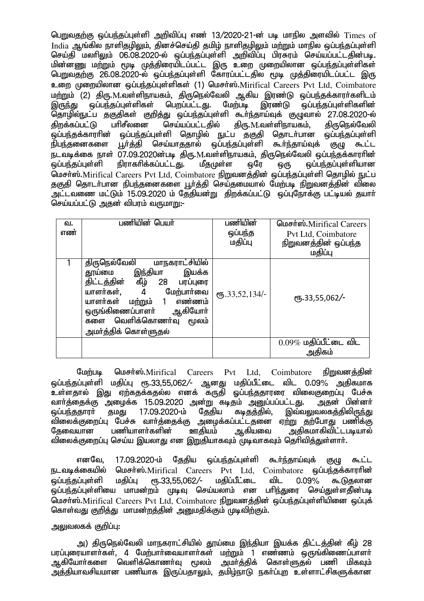பெறுவதற்கு ஒப்பந்தப்புள்ளி அறிவிப்பு எண் 13/2020-21-ன் படி மாநில அளவில் Times of  $I$ ndi $a$  ஆங்கில நாளிதழிலும், தினச்செய்தி தமிழ் நாளிதழிலும் மற்றும் மாநில ஒப்பந்தப்புள்ளி செய்தி மலரிலும் 06.08.2020-ல் ஒப்பந்தப்புள்ளி அறிவிப்பு பிரசுரம் செய்யப்பட்டதின்படி. மின்னணு மற்றும் மூடி முத்திரையிடப்பட்ட இரு உறை முறையிலான ஒப்பந்தப்புள்ளிகள் பெறுவதற்கு 26.08.2020-ல் ஒப்பந்தப்புள்ளி கோரப்பட்டதில் மூடி முத்திரையிடப்பட்ட இரு உறை முறையிலான ஒப்பந்தப்புள்ளிகள் (1) மெசர்ஸ்.Mirifical Careers Pvt Ltd, Coimbatore மற்றும் (2) திரு.M.வள்ளிநாயகம், திருநெல்வேலி ஆகிய இரண்டு ஒப்பந்தக்காரா்களிடம்<br>இருந்து ஒப்பந்தப்புள்ளிகள் பெறப்பட்டது. மேற்படி இரண்டு ஒப்பந்தப்புள்ளிகளின் இருந்து ஒப்பந்தப்புள்ளிகள் பெறப்பட்டது. மேற்படி இரண்டு ஒப்பந்தப்புள்ளிகளின் தொழில்நுட்ப தகுதிகள் குறித்து ஒப்பந்தப்புள்ளி கூா்ந்தாய்வுக் குழுவால் 27.08.2020-ல்<br>கிறக்கப்பட்டு பாிசீலனை செய்யப்பட்டகில் கிரு.M.வள்ளிநாயகம். கிருநெல்வேலி திறக்கப்பட்டு பரிசீலனை செய்யப்பட்டதில் திரு.M.வள்ளிநாயகம். திருநெல்வேலி .<br>ஒப்பந்தக்காரரின் ஒப்பந்தப்புள்ளி தொழில் நுட்ப தகுதி தொடா்பான ஒப்பந்தப்புள்ளி<br>நிபந்தனைகளை பூா்த்தி செய்யாததால் ஒப்பந்தப்புள்ளி கூா்ந்தாய்வக் குமு கூட்ட நிபந்தனைகளை பூர்த்தி செய்யாததால் ஒப்பந்தப்புள்ளி கூர்ந்தாய்வுக் குழு கூட்ட நடவடிக்கை நாள் O7.09.2020ன்படி திரு.M.வள்ளிநாயகம், திருநெல்வேலி ஒப்பந்தக்காராின்<br>ஒப்பந்தப்புள்ளி நிராகாிக்கப்பட்டது. மீதமுள்ள ஒரே ஒரு ஒப்பந்தப்புள்ளியான லப்பந்தப்புள்ளியான மெசர்ஸ்.Mirifical Careers Pvt Ltd, Coimbatore நிறுவனத்தின் ஒப்பந்தப்புள்ளி தொழில் நுட்ப தகுதி தொடர்பான நிபந்தனைகளை பூர்த்தி செய்தமையால் மேற்படி நிறுவனத்தின் விலை .<br>அட்டவணை மட்டும் 15.09.2020 ம் தேதியன்று கிறக்கப்பட்டு ஓப்பரோக்கு பட்டியல் தயார். செய்யப்பட்டு அதன் விபரம் வருமாறு:-

| வ.<br>எண் | பணியின் பெயர்                                                                                                                                                                                                                                               | பணியின்<br>ஒப்பந்த<br>மதிப்பு  | மெசர்ஸ்.Mirifical Careers<br>Pvt Ltd, Coimbatore<br>நிறுவனத்தின் ஒப்பந்த |
|-----------|-------------------------------------------------------------------------------------------------------------------------------------------------------------------------------------------------------------------------------------------------------------|--------------------------------|--------------------------------------------------------------------------|
|           |                                                                                                                                                                                                                                                             |                                | மதிப்பு                                                                  |
|           | திருநெல்வேலி<br>மாநகராட்சியில்<br>இந்தியா<br>இயக்க<br>தூய்மை<br>கீழ்<br>திட்டத்தின்<br>28<br>பரப்புரை<br>யாளர்கள்,<br>மேற்பார்வை<br>4<br>யாளர்கள்<br>எண்ணம்<br>மற்றும்<br>ஆகியோா்<br>ஒருங்கிணைப்பாளர்<br>களை வெளிக்கொணர்வு<br>மூலம்<br>அமா்த்திக் கொள்ளுதல் | $($ <sup>0</sup> Б.33,52,134/- | $\frac{6}{5}$ .33,55,062/-                                               |
|           |                                                                                                                                                                                                                                                             |                                | $0.09\%$ மதிப்பீட்டை விட<br>அதிகம்                                       |

மேற்படி மெசர்ஸ்.Mirifical Careers Pyt Ltd, Coimbatore நிறுவனக்கின்  $\ddot{\varphi}$ ப்பந்தப்புள்ளி மதிப்பு ரூ.33,55,062/- ஆனது மதிப்பீட்டை விட 0.09% அதிகமாக உள்ளதால் இது ஏற்கதக்கதல்ல எனக் கருதி ஓப்பந்ததாரரை விலைகுறைப்பு பேச்சு<br>வார்த்தைக்கு அழைக்க 15.09.2020 அன்று கடிதம் அனுப்பப்பட்டது. அதன் பின்னர் வாா்த்தைக்கு அழைக்க 15.09.2020 அன்று கடிதம் அனுப்பப்பட்டது.<br>ஒப்பந்ததாரா் தமது 17.09.2020-ம் தேதிய கடிதத்தில், இவ்வ குமது 17.09.2020-ம் தேதிய கடிதத்தில், இவ்வலுவலகத்திலிருந்து விலைக்குறைப்பு பேச்சு வாா்த்தைக்கு அழைக்கப்பட்டதனை ஏற்று தற்போது பணிக்கு<br>தேவையான பணியாளா்களின் ஊதியம் ஆகியவை அதிகமாகிவிட்டபடியால் தேவையான பணியாளா்களின் ஊதியம் ஆகியவை அகிகமாகிவிட்டபடியால் விலைக்குறைப்பு செய்ய இயலாது என <u>இறு</u>தியாகவும் முடிவாகவும் தெரிவித்துள்ளார்.

எனவே, 17.09.2020-ம் தேதிய ஒப்பந்தப்புள்ளி கூர்ந்தாய்வுக் குழு கூட்ட நடவடிக்கையில் மெசா்ஸ்.Mirifical Careers Pvt Ltd, Coimbatore ஒப்பந்தக்காராின்<br>ஓப்பந்தப்பள்ளி மதிப்ப ரூ.33.55.062/- மதிப்பீட்டை விட 0.09% கூடுதலான  $\tilde{\omega}$ ப்பந்தப்புள்ளி மகிப்பு ரூ.33.55.062/- மகிப்பீட்டை விட 0.09% கூடுகலான .<br>ஒப்பந்தப்புள்ளியை மாமன்றம் முடிவு செய்யலாம் என பரிந்துரை செய்துள்ளதின்படி மெசர்ஸ்.Mirifical Careers Pyt Ltd, Coimbatore நிறுவனத்தின் ஒப்பந்தப்புள்ளியினை ஒப்புக் கொள்வது குறித்து மாமன்றத்தின் அறையதிக்கும் முடிவிற்கும்.

### அலுவலகக் குறிப்பு:

அ) திருநெல்வேலி மாநகராட்சியில் தூய்மை இந்தியா இயக்க திட்டத்தின் கீழ் 28 பரப்புரையாளர்கள், 4 மேற்பார்வையாளர்கள் மற்றும் 1 எண்ணம் ஒருங்கிணைப்பாளர் ஆகியோர்களை வெளிக்கொணர்வு மூலம் அமர்க்கிக் கொள்ளுகல் பணி மிகவும் அத்தியாவசியமான பணியாக இருப்பதாலும், தமிழ்நாடு நகர்ப்புற உள்ளாட்சிகளுக்கான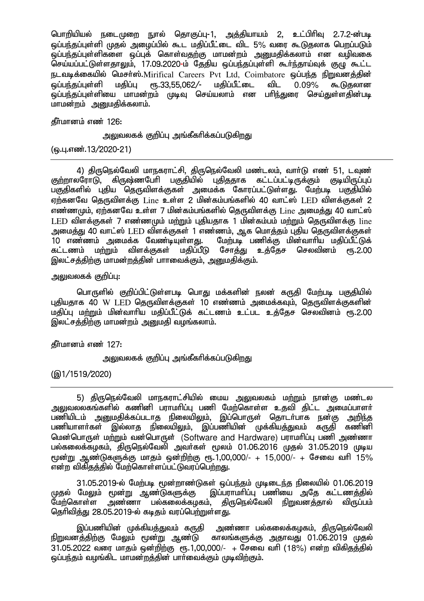பொறியியல் நடைமுறை நுால் தொகுப்பு-1, அத்தியாயம் 2, உட்பிரிவு 2.7.2-ன்படி ் ஒப்பந்தப்புள்ளி முதல் அமைப்பில் கூட மதிப்பீட்டை விட 5% வரை கூடுகலாக பெறப்படும் .<br>ஒப்பந்தப்புள்ளிகளை ஒப்புக் கொள்வதற்கு மாமன்றம் அனுமதிக்கலாம் என வழிவகை செய்யப்பட்டுள்ளதாலும், 17.09.2020-ம் தேதிய ஒப்பந்தப்புள்ளி கூர்ந்தாய்வுக் குழு கூட்ட நடவடிக்கையில் மெசா்ஸ்.Mirifical Careers Pvt Ltd, Coimbatore ஒப்பந்த நிறுவனத்தின்<br>ஓப்பந்கப்பள்ளி மகிப்பு ரூ.33.55.062/- மகிப்பீட்டை விட 0.09% கூடுகலான ஒப்பந்தப்புள்ளி மதிப்பு ரூ.33,55,062/- மதிப்பீட்டை விட 0.09% கூடுதலான ஒப்பந்தப்புள்ளியை மாமன்றம் முடிவு செய்யலாம் என பரிந்துரை செய்துள்ளதின்படி மாமன்றம் அமைகிக்கலாம்.

கீர்மானம் எண் $126$ :

அலுவலகக் குறிப்பு அங்கீகரிக்கப்படுகிறது

(ஒ.பு.எண்.13/2020-21)

4) திருநெல்வேலி மாநகராட்சி, திருநெல்வேலி மண்டலம், வாா்டு எண் 51, டவுண்<br>குற்றாலரோடு, கிருஷ்ணபேரி பகுதியில் புதிததாக கட்டப்பட்டிருக்கும் குடியிருப்புப் கிருஷ்ணபேரி பகுதியில் புகிததாக பகுதிகளில் புதிய தொுவிளக்குகள் அமைக்க கோரப்பட்டுள்ளது. மேற்படி பகுதியில்  $\pi$ ற்கனவே தெருவிளக்கு  $\rm{Line}$  உள்ள 2 மின்கம்பங்களில் 40 வாட்ஸ்  $\rm{LED}$  விளக்குகள் 2 எண்ணமும், ஏற்கனவே உள்ள 7 மின்கம்பங்களில் தெருவிளக்கு Line அமைத்து 40 வாட்ஸ்  $LED$  விளக்குகள் 7 எண்ணமும் மற்றும் புதியதாக 1 மின்கம்பம் மற்றும் தெருவிளக்கு line அமைத்து 40 வாட்ஸ் LED விளக்குகள் 1 எண்ணம், ஆக மொத்தம் புதிய தெருவிளக்குகள்<br>10 எண்ணம் அமைக்க வேண்டியுள்ளது. மேற்படி பணிக்கு மின்வாரிய மகிப்பீட்டுக் 10 எண்ணம் அமைக்க வேண்டியுள்ளது. மேற்படி பணிக்கு மின்வாாிய மதிப்பீட்டுக்<br>கட்டணம் மற்றும் விளக்குகள் மகிப்பீடு சோக்கு உக்கேச செலவினம் ரூ.2.00 ்விளக்குகள் மகிப்பீடு சோக்கு உக்கேச செலவினம் ரூ.2.00 இலட்சத்திற்கு மாமன்றத்தின் பாாவைக்கும், அனுமதிக்கும்.

அலுவலகக் குறிப்பு:

பொருளில் குறிப்பிட்டுள்ளபடி பொது மக்களின் நலன் கருதி மேற்படி பகுதியில் பகியகாக 40 W LED கெருவிளக்குகள் 10 எண்ணம் அமைக்கவம். கெருவிளக்குகளின் kjpg;G kw;Wk; kpd;thhpa kjpg;gPl;Lf; fl;lzk; cl;gl cj;Njr nrytpdk; &.2.00 இலட்சத்திற்கு மாமன்றம் அறைமதி வழங்கலாம்.

கீர்மானம் எண் $127:$ 

அலுவலகக் குறிப்பு அங்கீகரிக்கப்படுகிறது

(@1/1519/2020)

5) திருநெல்வேலி மாநகராட்சியில் மைய அலுவலகம் மற்றும் நான்கு மண்டல அலுவலலகங்களில் கணினி பராமரிப்பு பணி மேற்கொள்ள உதவி கிட்ட அமைப்பாளர் பணியிடம் அனுமதிக்கப்படாத நிலையிலும், இப்பொருள் தொடா்பாக நன்கு அறிந்த<br>பணியாளா்கள் இல்லாக நிலையிலும், இப்பணியின் முக்கியக்குடிம் கருகி கணினி  $\alpha$ ெல்லாக நிலையிலம். வெப்பணியின் மக்கியக்குவம் காகி கணினி மென்பொருள் மற்றும் வன்பொருள் (Software and Hardware) பராமரிப்பு பணி அண்ணா gy;fiyf;fofk;> jpUney;Ntyp mtHfs; %yk; 01.06.2016 Kjy; 31.05.2019 Kba மூன்று ஆண்டுகளுக்கு மாதம் ஒன்றிற்கு ரூ.1,00,000/- + 15,000/- + சேவை வரி 15% என்ற விகிகக்கில் மேற்கொள்ளப்பட்டுவாப்பெற்றது.

31.05.2019-ல் மேற்படி மூன்றாண்டுகள் ஒப்பந்தம் முடிடைந்த நிலையில் 01.06.2019<br>முதல் மேலும் மூன்று ஆண்டுகளுக்கு இப்பராமாிப்பு பணியை அதே கட்டணத்தில் முதல் மேலும் மூன்று ஆண்டுகளுக்கு இப்பராமாிப்பு பணியை அதே கட்டணத்தில்<br>மேற்கொள்ள அண்ணா பல்கலைக்கமகம். கிருமெல்வேலி நிறுவனக்கால் விருப்பம் ் அண்ணா பல்கலைக்கமகம், திருநெல்வேலி நிறுவனக்கால் விருப்பம் தெரிவிக்கு 28.05.2019-ல் கடிகம் வாப்பெற்றுள்ளது.

,இப்பணியின் முக்கியத்துவம் கருதி அண்ணா பல்கலைக்கழகம், திருநெல்வேலி<br>நிறுவனக்திற்கு மேலும் மூன்று ஆண்டு காலங்களுக்கு அதாவது 01.06.2019 முதல் காலங்களுக்கு அதாவது 01.06.2019 முதல்  $31.05.2022$  வரை மாதம் ஒன்றிற்கு ரூ.1,00,000/- + சேவை வரி (18%) என்ற விகிதத்தில் ஒப்பந்தம் வழங்கிட மாமன்றத்தின் பார்வைக்கும் முடிவிற்கும்.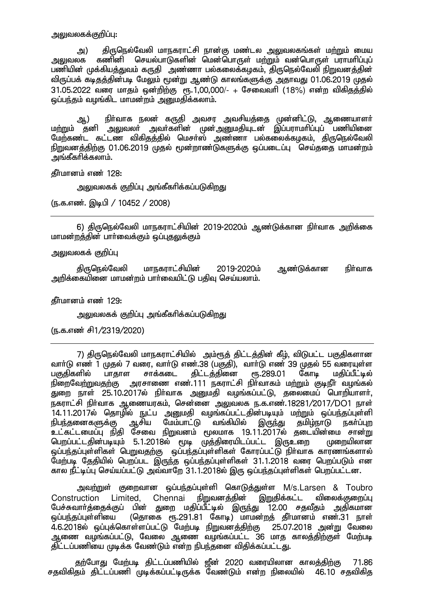அலுவலகக்குறிப்பு:

அ) திருநெல்வேலி மாநகராட்சி நான்கு மண்டல அலுவலகங்கள் மற்றும் மைய<br>அலுவலக கணினி செயல்பாடுகளின் மென்பொருள் மற்றும் வன்பொருள் பாாமாிப்பப் கணினி செயல்பாடுகளின் மென்பொருள் மற்றும் வன்பொருள் பாாமரிப்பப் பணியின் முக்கியத்துவம் கருதி அண்ணா பல்கலைக்கழகம், திருநெல்வேலி நிறுவனத்தின் விருப்பக் கடிதத்தின்படி மேலும் மூன்று ஆண்டு காலங்களுக்கு அதாவது 01.06.2019 முதல்  $31.05.2022$  வரை மாதம் ஒன்றிற்கு ரூ. $1,00,000/$ - + சேவைவரி (18%) என்ற விகிதத்தில் ஒப்பந்தம் வழங்கிட மாமன்றம் அனுமதிக்கலாம்.

ஆ) நிா்வாக நலன் கருதி அவசர அவசியத்தை முன்னிட்டு, ஆணையாளா் ம<u>ற்ற</u>ும் தனி அலுவலா் அவா்களின் முன்அனுமதியுடன் இப்பராமாிப்புப் பணியினை மேற்கண்ட கட்டண விகிதத்தில் மெசர்ஸ் அண்ணா பல்கலைக்கமகம், திருநெல்வேலி நிறுவனத்திற்கு 01.06.2019 முதல் மூன்றாண்டுகளுக்கு ஒப்படைப்பு 「செய்ததை மாமன்றம் அங்கீகரிக்கலாம்.

**தீர்மானம் எண் 128:** 

அலுவலகக் குறிப்பு அங்கீகரிக்கப்படுகிறது

(ந.க.எண். இடிபி / 10452 / 2008)

6) திருநெல்வேலி மாநகராட்சியின் 2019-2020ம் ஆண்டுக்கான நிர்வாக அறிக்கை மாமன்றத்தின் பார்வைக்கும் ஒப்புதலுக்கும்

அலுவலகக் குறிப்பு

திருநெல்வேலி மாநகராட்சியின் 2019-2020ம் ஆண்டுக்கான நிர்வாக அறிக்கையினை மாமன்றம் பார்வையிட்டு பதிவு செய்யலாம்.

 $f$ ரீமானம் எண் $129$ :

அலுவலகக் குறிப்பு அங்கீகரிக்கப்படுகிறது

(ந.க.எண் சி1/2319/2020)

7) திருநெல்வேலி மாநகராட்சியில் அம்ரூத் திட்டத்தின் கீழ், விடுபட்ட பகுதிகளான வாா்டு எண் 1 முதல் 7 வரை, வாா்டு எண.38 (பகுதி), வாா்டு எண் 39 முதல் 55 வரையுள்ள<br>பகுதிகளில் பாதாள சாக்கடை திட்டத்தினை ரூ.289.01 கோடி மகிப்பீட்டில் பகுதிகளில் பாதாள சாக்கடை திட்டத்தினை<br>நிறைவே<u>ற்றுவதற்கு</u> அரசாணை எண்.111 நகராட்சி <u>அ</u>ரசாணை எண்.111 நகராட்சி நிர்வாகம் மற்றும் குடிநீர் வழங்கல் துறை நாள் 25.10.2017ல் நிா்வாக அனுமதி வழங்கப்பட்டு, தலைமைப் பொறியாளா், .<br>நகராட்சி நிர்வாக ஆணையரகம், சென்னை அலுவலக ந.க.எண்.18281/2017/DO1 நாள் 14.11.2017ல் தொழில் நுட்ப அனுமதி வழங்கப்பட்டதின்படியும் மற்றும் ஒப்பந்தப்புள்ளி<br>நிபந்தனைகளுக்கு ஆசிய மேம்பாட்டு வங்கியில் இருந்து தமிழ்நாடு நகா்ப்புற நிபந்தனைகளுக்கு ஆசிய மேம்பாட்டு உட்கட்டமைப்பு நிதி சேவை நிறுவனம் மூலமாக 19.11.2017ல் தடையின்மை சான்று பெறப்பட்டதின்படியும் 5.1.2018ல் மூடி முத்திரையிடப்பட்ட இருஉறை முறையிலான ஒப்பந்தப்புள்ளிகள் பெறுவதற்கு ஒப்பந்தப்புள்ளிகள் கோரப்பட்டு நிர்வாக காரணங்களால் மேற்படி தேதியில் பெறப்பட இருந்த ஒப்பந்தப்புள்ளிகள் 31.1.2018 வரை பெறப்படும் என கால நீட்டிப்பு செய்யப்பட்டு அவ்வாறே 31.1.2018ல் இரு ஒப்பந்தப்புள்ளிகள் பெறப்பட்டன.

அவற்றுள் குறைவான ஒப்பந்தப்புள்ளி கொடுத்துள்ள M/s.Larsen & Toubro Construction Limited. Chennai நிறுவனத்தின் இறுதிக்கட்ட விலைக்குறைப்பு பேச்சுவாா்த்தைக்குப் பின் துறை மதிப்பீட்டில் இருந்து 12.00 சதவீதம் அதிகமான ் *பை*த்தப்புள்ளியை (தொகை ரூ.291.81 கோடி) மாமன்றத் தீர்மானம் எண்.31 நாள் 4.6.2018ல் ஒப்புக்கொள்ளப்பட்டு மேற்படி நிறுவனத்திற்கு 25.07.2018 அன்று வேலை ஆணை வழங்கப்பட்டு, வேலை ஆணை வழங்கப்பட்ட 36 மாத காலத்திற்குள் மேற்படி திட்டப்பணியை முடிக்க வேண்டும் என்ற நிபந்தனை விதிக்கப்பட்டது.

தற்போது மேற்படி திட்டப்பணியில் ஜீன் 2020 வரையிலான காலத்திற்கு 71.86 சதவிகிதம் திட்டப்பணி முடிக்கப்பட்டிருக்க வேண்டும் என்ற நிலையில் 46.10 சதவிகித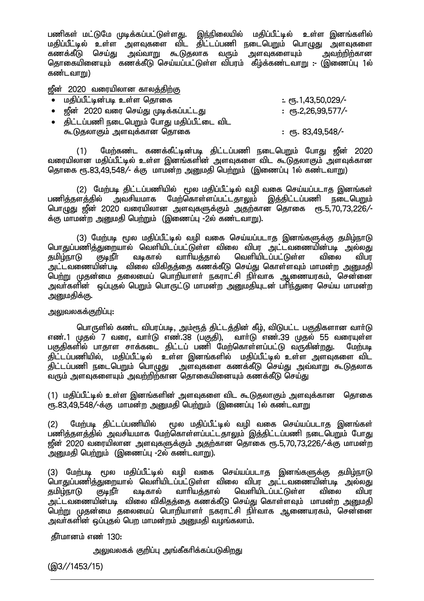பணிகள் மட்டுமே முடிக்கப்பட்டுள்ளது. இந்நிலையில் மதிப்பீட்டில் உள்ள இனங்களில் மதிப்பீட்டில் உள்ள அளவுகளை விட திட்டப்பணி நடைபெறும் பொழுது அளவுகளை fzf;fPL nra;J mt;thW \$Ljyhf tUk; msTfisAk; mtw;wpw;fhd தொகையினையும் கணக்கீடு செய்யப்பட்டுள்ள விபரம் கீழ்க்கண்டவாறு - (இணைப்பு 1ல் கண்டவா $m$ )

ஜீன் 2020 வரையிலான காலத்திற்கு

| • மதிப்பீட்டின்படி உள்ள தொகை                   | $\therefore$ erg. 1,43,50,029/- |
|------------------------------------------------|---------------------------------|
| •     ஜீன்   2020 வரை செய்து முடிக்கப்பட்டது   | $:$ erg. 2, 26, 99, 577/-       |
| •    திட்டப்பணி நடைபெறும் போது மதிப்பீட்டை விட |                                 |
| கூடுதலாகும் அளவுக்கான தொகை                     | : $\epsilon$ п, 83,49,548/-     |

(1) மேற்கண்ட கணக்கீட்டின்படி திட்டப்பணி நடைபெறும் போது ஜீன் 2020 ்வரையிலான மதிப்பீட்டில் உள்ள இனங்களின் அளவுகளை விட கூடுதலாகும் அளவுக்கான தொகை ரூ.83.49.548/- க்கு மாமன்ற அறுமதி பெற்றும் (இணைப்பு 1ல் கண்டவாறு)

(2) மேற்படி திட்டப்பணியில் மூல மதிப்பீட்டில் வழி வகை செய்யப்படாத இனங்கள் பணித்தளத்தில் அவசியமாக மேற்கொள்ளப்பட்டதாலும் இத்திட்டப்பணி நடைபெறும் nghOJ [Pd; 2020 tiuapyhd msTfSf;Fk; mjw;fhd njhif &.5>70>73>226/- .<br>க்கு மாமன்ற அறையதி பெற்றும் (இணைப்பு -2ல் கண்டவாறு).

(3) மேற்படி மூல மதிப்பீட்டில் வழி வகை செய்யப்படாத இனங்களுக்கு தமிழ்நாடு பொதுப்பணித்துறையால் வெளியிடப்பட்டுள்ள விலை விபர அட்டவணையின்படி அல்லது<br>தமிழ்நாடு குடிநீா வடிகால் வாாியத்தால் வெளியிடப்பட்டுள்ள விலை விபர வெளியிடப்பட்டுள்ள .<br>அட்டவணையின்படி விலை விகிதத்தை கணக்கீடு செய்து கொள்ளவும் மாமன்ற அனுமதி ு.<br>பெற்று முதன்மை தலைமைப் பொறியாளா் நகராட்சி நிா்வாக ஆணையரகம், சென்னை அவா்களின் , ஒப்புகல் பெறும் பொருட்டு மாமன்ற அறுமகியுடன் பாிந்துரை செய்ய மாமன்ற அனுமதிக்கு.

அலுவலகக்குறிப்பு:

பொருளில் கண்ட விபரப்படி, அம்ரூத் திட்டத்தின் கீழ், விடுபட்ட பகுதிகளான வார்டு எண்.1 முதல் 7 வரை, வார்டு எண்.38 (பகுதி), பார்டு எண்.39 முதல் 55 வரையுள்ள ் பகுதிகளில் பாதாள சாக்கடை திட்டப் பணி மேற்கொள்ளப்பட்டு வருகின்றது. மேற்படி ்திட்டப்பணியில், மகிப்பீட்டில் உள்ள இனங்களில் மகிப்பீட்டில் உள்ள அளவுகளை விட ்திட்டப்பணி நடைபெறும் வொழுது உஜனவுகளை கணக்கீடு செய்து அவ்வாறு கூடுதலாக வரும் அளவுகளையும் அவற்றிற்கான தொகையினையும் கணக்கீடு செய்கு

(1) மதிப்பீட்டில் உள்ள இனங்களின் அளவுகளை விட கூடுதலாகும் அளவுக்கான தொகை  $\overline{\text{r}}$ ந.83.49.548/-க்கு மாமன்ற அமைகி பெற்றும் (இணைப்ப 1ல் கண்டவாறு

(2) மேற்படி திட்டப்பணியில் மூல மதிப்பீட்டில் வழி வகை செய்யப்படாக இனங்கள் ் ?<br>பணித்தளத்தில் துவசியமாக மேற்கொள்ளப்பட்டதாலும் இத்திட்டப்பணி நடைபெறும் போது  $\hat{\mathfrak{g}}$ ன் 2020 வரையிலான அளவுகளுக்கும் அதற்கான தொகை ரூ.5,70,73,226/-க்கு மாமன்ற ் ...<br>அனுமதி பெற்றும் (இணைப்பு -2ல் கண்டவாறு).

(3) மேற்படி மூல மதிப்பீட்டில் வழி வகை செய்யப்படாத இனங்களுக்கு தமிழ்நாடு .<br>பொதுப்பணித்துறையால் வெளியிடப்பட்டுள்ள விலை விபர அட்டவணையின்படி அல்லது<br>தமிழ்நாடு குடிநீா வடிகால் வாாியத்தால் வெளியிடப்பட்டுள்ள விலை விபர தமிழ்நாடு குடிநீா் வடிகால் வாாியத்தால் வெளியிடப்பட்டுள்ள விலை விபர அட்டவணையின்படி விலை விகிதத்தை கணக்கீடு செய்து கொள்ளவும் மாமன்ற அனுமதி .<br>பெற்று முதன்மை தலைமைப் பொறியாளா் நகராட்சி நிா்வாக ஆணையரகம், சென்னை அவாகளின் ஒப்புதல் பெற மாமன்றம் அனுமதி வழங்கலாம்.

கீர்மானம் எண் $130:$ 

அலுவலகக் குறிப்பு அங்கீகரிக்கப்படுகிறது

(@3//1453/15)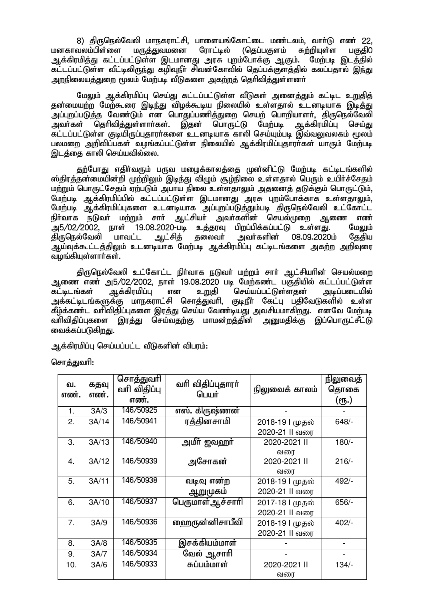8) திருநெல்வேலி மாநகராட்சி, பாளையங்கோட்டை மண்டலம், வாா்டு எண் 22,<br>வலம்பிள்ளை மருத்துவமனை ரோட்டில் (தெப்பகுளம் சுா்றியுள்ள பகுகி0 மனகாவலம்பிள்ளை ஆக்கிரமித்து கட்டப்பட்டுள்ள இடமானது அரசு புறம்போக்கு ஆகும். மேற்படி இடத்தில் ்.<br>கட்டப்பட்டுள்ள வீட்டிலிருந்து கூறிவுநீர் சிவன்கோவில் தெப்பக்குளக்கில் கலப்பதால் இந்து <u>அறநிலையத்துறை</u> மூலம் மேற்படி வீடுகளை அகற்றத் தெரிவித்துள்ளனர்

மேலும் ஆக்கிரமிப்பு செய்து கட்டப்பட்டுள்ள வீடுகள் அனைத்தும் கட்டிட உறுதித் தன்மையற்ற மேற்கூரை இடிந்து விழக்கூடிய நிலையில் உள்ளதால் உடனடியாக இடித்து .<br>அப்புறப்படுத்த வேண்டும் என பொதுப்பணித்துறை செயற் பொறியாளா், திருநெல்வேலி<br>அவா்கள் தொிவித்துள்ளாா்கள். இதன் பொருட்டு மேற்படி ஆக்கிரமிப்பு செய்து குரிவித்துள்ளாா்கள். இதன் பொருட்டு ்கட்டப்பட்டுள்ள குடியிருப்பகாார்களை உடனடியாக காலி செய்யம்படி இவ்வலவலகம் மூலம் பலமறை அறிவிப்பகள் வழங்கப்பட்டுள்ள நிலையில் ஆக்கிரமிப்புகாராகள் யாரும் மேற்படி டுடக்கை காலி செய்யவில்லை.

தற்போது எதிர்வரும் பருவ மழைக்காலக்கை முன்னிட்டு மேற்படி கட்டிடங்களில் ஸ்திரத்தன்மையின்றி முற்றிலும் இடிந்து விழும் சூழ்நிலை உள்ளதால் பெரும் உயிர்ச்சேதம் மற்றும் பொருட்சேதம் ஏற்படும் அபாய நிலை உள்ளதாலும் அதனைத் தடுக்கும் பொருட்டும், மேற்படி ஆக்கிரமிப்பில் கட்டப்பட்டுள்ள இடமானது அரசு புறம்போக்காக உள்ளதாலும், மேற்படி ஆக்கிரமிப்புகளை உடனடியாக அப்புறப்படுத்தும்படி திருநெல்வேலி உட்கோட்ட நிர்வாக நடுவர் மற்றும் சார் ஆட்சியர் அவர்களின் செயல்முறை ஆணை எண்<br>அ5/02/2002. நாள் 19.08.2020-படி உத்தரவு பிறப்பிக்கப்பட்டு உள்ளது. மேலும் அ5/02/2002, நாள் 19.08.2020-படி உத்தரவு பிறப்பிக்கப்பட்டு உள்ளது. மேலும் திருநெல்வேலி மாவட்ட ஆட்சித் தலைவர் அவர்களின் 08.09.2020ம் தேதிய அய்வுக்கூட்டத்திலும் உடனடியாக மேற்படி ஆக்கிரமிப்பு கட்டிடங்களை அகற்ற அறிவுரை வழங்கியுள்ளாா்கள்.

திருநெல்வேலி உட்கோட்ட நிர்வாக நடுவர் மற்றம் சார் ஆட்சியரின் செயல்மறை ஆணை எண் அ5/02/2002, நாள் 19.08.2020 படி மேற்கண்ட பகுதியில் கட்டப்பட்டுள்ள கட்டிடங்கள் ஆக்கிரமிப்பு என உறுதி செய்யப்பட்டுள்ளதன் அடிப்படையில் அக்கட்டிடங்களுக்கு மாநகராட்சி சொத்துவரி, குடிநீா் கேட்பு பதிவேடுகளில் உள்ள கீழ்க்கண்ட வாிவிதிப்புகளை இரத்து செய்ய வேண்டியது அவசியமாகிறது. எனவே மேற்படி வாிவிதிப்புகளை இரத்து செய்வதற்கு மாமன்றத்தின் <u>அனு</u>மதிக்கு இப்பொருட்சீட்டு வைக்கப்படுகிறது.

ஆக்கிரமிப்பு செய்யப்பட்ட வீடுகளின் விபரம்:

சொத்துவரி:

| வ.<br>எண்.       | கதவு<br>எண். | சொத்துவரி<br>வரி விதிப்பு<br>எண். | வரி விதிப்புதாரா்<br>பெயர் | நிலுவைக் காலம்  | நிலுவைத்<br>தொகை<br>(ரூ.) |
|------------------|--------------|-----------------------------------|----------------------------|-----------------|---------------------------|
| 1.               | 3A/3         | 146/50925                         | எஸ். கிருஷ்ணன்             |                 |                           |
| 2.               | 3A/14        | 146/50941                         | ரத்தினசாமி                 | 2018-19   முதல் | $648/-$                   |
|                  |              |                                   |                            | 2020-21 II வரை  |                           |
| 3.               | 3A/13        | 146/50940                         | அமீர் ஜவஹர்                | 2020-2021 II    | $180/-$                   |
|                  |              |                                   |                            | வரை             |                           |
| $\overline{4}$ . | 3A/12        | 146/50939                         | அசோகன்                     | 2020-2021 II    | $216/-$                   |
|                  |              |                                   |                            | வரை             |                           |
| 5.               | 3A/11        | 146/50938                         | வடிவு என்ற                 | 2018-19 l முதல் | 492/-                     |
|                  |              |                                   | ஆறுமுகம்                   | 2020-21 II வரை  |                           |
| 6.               | 3A/10        | 146/50937                         | பெருமாள் ஆச்சாரி           | 2017-18 l முதல் | 656/-                     |
|                  |              |                                   |                            | 2020-21 II வரை  |                           |
| 7.               | 3A/9         | 146/50936                         | ஹைருன்னிசாபீவி             | 2018-19   முதல் | $402/-$                   |
|                  |              |                                   |                            | 2020-21 II வரை  |                           |
| 8.               | 3A/8         | 146/50935                         | இசக்கியம்மாள்              |                 |                           |
| 9.               | 3A/7         | 146/50934                         | வேல் ஆசாாி                 |                 |                           |
| 10.              | 3A/6         | 146/50933                         | சுப்பம்மாள்                | 2020-2021 II    | $134/-$                   |
|                  |              |                                   |                            | வரை             |                           |